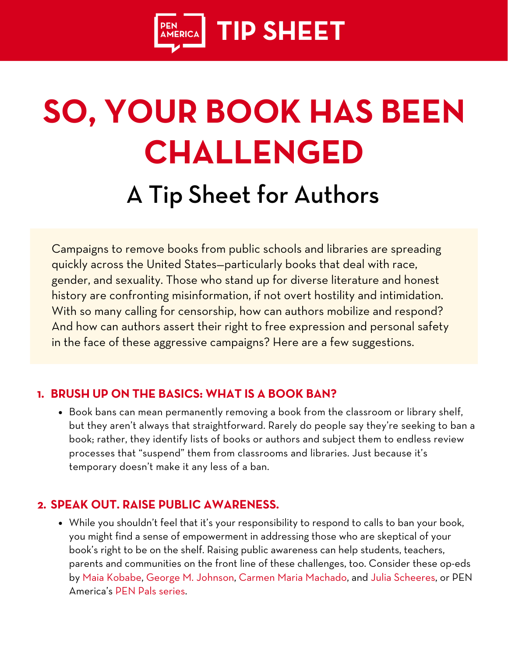

# **SO, YOUR BOOK HAS BEEN CHALLENGED** A Tip Sheet for Authors

Campaigns to remove books from public schools and libraries are spreading quickly across the United States—particularly books that deal with race, gender, and sexuality. Those who stand up for diverse literature and honest history are confronting misinformation, if not overt hostility and intimidation. With so many calling for censorship, how can authors mobilize and respond? And how can authors assert their right to free expression and personal safety in the face of these aggressive campaigns? Here are a few suggestions.

### **BRUSH UP ON THE BASICS: WHAT IS A BOOK BAN? 1.**

Book bans can mean permanently removing a book from the classroom or library shelf, but they aren't always that straightforward. Rarely do people say they're seeking to ban a book; rather, they identify lists of books or authors and subject them to endless review processes that "suspend" them from classrooms and libraries. Just because it's temporary doesn't make it any less of a ban.

#### **SPEAK OUT. RAISE PUBLIC AWARENESS. 2.**

While you shouldn't feel that it's your responsibility to respond to calls to ban your book, you might find a sense of empowerment in addressing those who are skeptical of your book's right to be on the shelf. Raising public awareness can help students, teachers, parents and communities on the front line of these challenges, too. Consider these op-eds b[y](https://www.washingtonpost.com/opinions/2021/10/29/schools-are-banning-my-book-queer-kids-need-queer-stories/) Maia [Kobabe,](https://www.washingtonpost.com/opinions/2021/10/29/schools-are-banning-my-book-queer-kids-need-queer-stories/) George M. [Johnson](https://www.bet.com/article/f8k1jn/all-boys-arent-blue-george-m-johnson-on-book-ban-op-ed), [C](https://www.nytimes.com/2021/05/11/opinion/censorship-domestic-violence-book.html)armen Maria [Machado](https://www.nytimes.com/2021/05/11/opinion/censorship-domestic-violence-book.html), and [J](https://www.jconline.com/story/news/local/2021/10/11/opinion-push-ban-my-book-indiana-julia-scheeres-jesus-land/6049752001/)ulia [Scheeres,](https://www.jconline.com/story/news/local/2021/10/11/opinion-push-ban-my-book-indiana-julia-scheeres-jesus-land/6049752001/) or PEN America's PEN Pals [series](https://pen.org/pen_tags/pen-pals/).